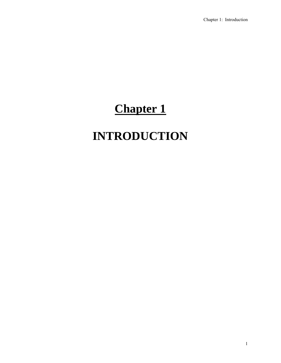# **Chapter 1**

## **INTRODUCTION**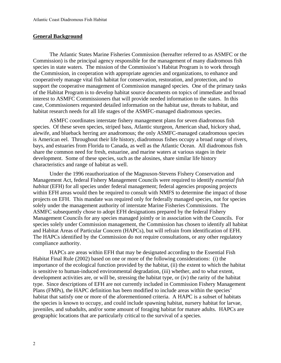#### **General Background**

The Atlantic States Marine Fisheries Commission (hereafter referred to as ASMFC or the Commission) is the principal agency responsible for the management of many diadromous fish species in state waters. The mission of the Commission's Habitat Program is to work through the Commission, in cooperation with appropriate agencies and organizations, to enhance and cooperatively manage vital fish habitat for conservation, restoration, and protection, and to support the cooperative management of Commission managed species*.* One of the primary tasks of the Habitat Program is to develop habitat source documents on topics of immediate and broad interest to ASMFC Commissioners that will provide needed information to the states. In this case, Commissioners requested detailed information on the habitat use, threats to habitat, and habitat research needs for all life stages of the ASMFC-managed diadromous species.

ASMFC coordinates interstate fishery management plans for seven diadromous fish species. Of these seven species, striped bass, Atlantic sturgeon, American shad, hickory shad, alewife, and blueback herring are anadromous; the only ASMFC-managed catadromous species is American eel. Throughout their life history, diadromous fishes occupy a broad range of rivers, bays, and estuaries from Florida to Canada, as well as the Atlantic Ocean. All diadromous fish share the common need for fresh, estuarine, and marine waters at various stages in their development. Some of these species, such as the alosines, share similar life history characteristics and range of habitat as well.

Under the 1996 reauthorization of the Magnuson-Stevens Fishery Conservation and Management Act, federal Fishery Management Councils were required to identify *essential fish habitat* (EFH) for all species under federal management; federal agencies proposing projects within EFH areas would then be required to consult with NMFS to determine the impact of those projects on EFH. This mandate was required only for federally managed species, not for species solely under the management authority of interstate Marine Fisheries Commissions. The ASMFC subsequently chose to adopt EFH designations prepared by the federal Fishery Management Councils for any species managed jointly or in association with the Councils. For species solely under Commission management, the Commission has chosen to identify all habitat and Habitat Areas of Particular Concern (HAPCs), but will refrain from identification of EFH. The HAPCs identified by the Commission do not require consultations, or any other regulatory compliance authority.

HAPCs are areas within EFH that may be designated according to the Essential Fish Habitat Final Rule (2002) based on one or more of the following considerations: (i) the importance of the ecological function provided by the habitat, (ii) the extent to which the habitat is sensitive to human-induced environmental degradation, (iii) whether, and to what extent, development activities are, or will be, stressing the habitat type, or (iv) the rarity of the habitat type. Since descriptions of EFH are not currently included in Commission Fishery Management Plans (FMPs), the HAPC definition has been modified to include areas within the species' habitat that satisfy one or more of the aforementioned criteria. A HAPC is a subset of habitats the species is known to occupy, and could include spawning habitat, nursery habitat for larvae, juveniles, and subadults, and/or some amount of foraging habitat for mature adults. HAPCs are geographic locations that are particularly critical to the survival of a species.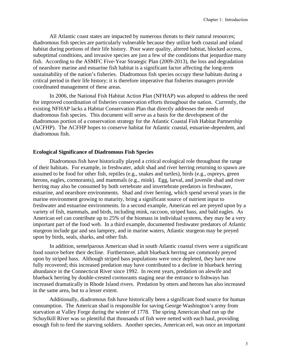All Atlantic coast states are impacted by numerous threats to their natural resources; diadromous fish species are particularly vulnerable because they utilize both coastal and inland habitat during portions of their life history. Poor water quality, altered habitat, blocked access, suboptimal conditions, and invasive species are just a few of the conditions that jeopardize many fish. According to the ASMFC Five-Year Strategic Plan (2009-2013), the loss and degradation of nearshore marine and estuarine fish habitat is a significant factor affecting the long-term sustainability of the nation's fisheries. Diadromous fish species occupy these habitats during a critical period in their life history; it is therefore imperative that fisheries managers provide coordinated management of these areas.

In 2006, the National Fish Habitat Action Plan (NFHAP) was adopted to address the need for improved coordination of fisheries conservation efforts throughout the nation. Currently, the existing NFHAP lacks a Habitat Conservation Plan that directly addresses the needs of diadromous fish species. This document will serve as a basis for the development of the diadromous portion of a conservation strategy for the Atlantic Coastal Fish Habitat Partnership (ACFHP). The ACFHP hopes to conserve habitat for Atlantic coastal, estuarine-dependent, and diadromous fish.

### **Ecological Significance of Diadromous Fish Species**

Diadromous fish have historically played a critical ecological role throughout the range of their habitats. For example, in freshwater, adult shad and river herring returning to spawn are assumed to be food for other fish, reptiles (e.g., snakes and turtles), birds (e.g., ospreys, green herons, eagles, cormorants), and mammals (e.g., mink). Egg, larval, and juvenile shad and river herring may also be consumed by both vertebrate and invertebrate predators in freshwater, estuarine, and nearshore environments. Shad and river herring, which spend several years in the marine environment growing to maturity, bring a significant source of nutrient input to freshwater and estuarine environments. In a second example, American eel are preyed upon by a variety of fish, mammals, and birds, including mink, raccoon, striped bass, and bald eagles. As American eel can contribute up to 25% of the biomass in individual systems, they may be a very important part of the food web. In a third example, documented freshwater predators of Atlantic sturgeon include gar and sea lamprey, and in marine waters, Atlantic sturgeon may be preyed upon by birds, seals, sharks, and other fish.

In addition, semelparous American shad in south Atlantic coastal rivers were a significant food source before their decline. Furthermore, adult blueback herring are commonly preyed upon by striped bass. Although striped bass populations were once depleted, they have now fully recovered; this increased predation may have contributed to a decline in blueback herring abundance in the Connecticut River since 1992. In recent years, predation on alewife and blueback herring by double-crested cormorants staging near the entrance to fishways has increased dramatically in Rhode Island rivers. Predation by otters and herons has also increased in the same area, but to a lesser extent.

Additionally, diadromous fish have historically been a significant food source for human consumption. The American shad is responsible for saving George Washington's army from starvation at Valley Forge during the winter of 1778. The spring American shad run up the Schuylkill River was so plentiful that thousands of fish were netted with each haul, providing enough fish to feed the starving soldiers. Another species, American eel, was once an important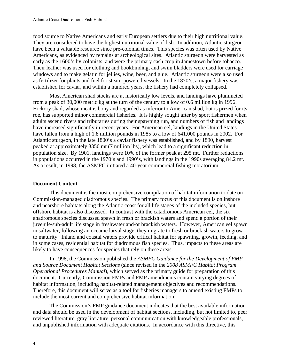food source to Native Americans and early European settlers due to their high nutritional value. They are considered to have the highest nutritional value of fish. In addition, Atlantic sturgeon have been a valuable resource since pre-colonial times. This species was often used by Native Americans, as evidenced by remains at archeological sites. Atlantic sturgeon were harvested as early as the 1600's by colonists, and were the primary cash crop in Jamestown before tobacco. Their leather was used for clothing and bookbinding, and swim bladders were used for carriage windows and to make gelatin for jellies, wine, beer, and glue. Atlantic sturgeon were also used as fertilizer for plants and fuel for steam-powered vessels. In the 1870's, a major fishery was established for caviar, and within a hundred years, the fishery had completely collapsed.

Most American shad stocks are at historically low levels, and landings have plummeted from a peak of 30,000 metric kg at the turn of the century to a low of 0.6 million kg in 1996. Hickory shad, whose meat is bony and regarded as inferior to American shad, but is prized for its roe, has supported minor commercial fisheries. It is highly sought after by sport fishermen when adults ascend rivers and tributaries during their spawning run, and numbers of fish and landings have increased significantly in recent years. For American eel, landings in the United States have fallen from a high of 1.8 million pounds in 1985 to a low of 641,000 pounds in 2002. For Atlantic sturgeon, in the late 1800's a caviar fishery was established, and by 1890, harvest peaked at approximately 3350 mt (7 million lbs), which lead to a significant reduction in population size. By 1901, landings were 10% of the former peak at 295 mt. Further reductions in populations occurred in the 1970's and 1990's, with landings in the 1990s averaging 84.2 mt. As a result, in 1998, the ASMFC initiated a 40-year commercial fishing moratorium.

#### **Document Content**

This document is the most comprehensive compilation of habitat information to date on Commission-managed diadromous species. The primary focus of this document is on inshore and nearshore habitats along the Atlantic coast for all life stages of the included species, but offshore habitat is also discussed. In contrast with the catadromous American eel, the six anadromous species discussed spawn in fresh or brackish waters and spend a portion of their juvenile/sub-adult life stage in freshwater and/or brackish waters. However, American eel spawn in saltwater; following an oceanic larval stage, they migrate to fresh or brackish waters to grow to maturity. Inland and coastal waters provide critical habitat for spawning, growth, feeding, and in some cases, residential habitat for diadromous fish species. Thus, impacts to these areas are likely to have consequences for species that rely on these areas.

In 1998, the Commission published the *ASMFC Guidance for the Development of FMP and Source Document Habitat Sections* (since revised in the *2008 ASMFC Habitat Program Operational Procedures Manual*), which served as the primary guide for preparation of this document. Currently, Commission FMPs and FMP amendments contain varying degrees of habitat information, including habitat-related management objectives and recommendations. Therefore, this document will serve as a tool for fisheries managers to amend existing FMPs to include the most current and comprehensive habitat information.

The Commission's FMP guidance document indicates that the best available information and data should be used in the development of habitat sections, including, but not limited to, peer reviewed literature, gray literature, personal communication with knowledgeable professionals, and unpublished information with adequate citations. In accordance with this directive, this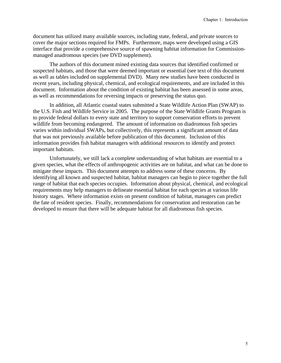document has utilized many available sources, including state, federal, and private sources to cover the major sections required for FMPs. Furthermore, maps were developed using a GIS interface that provide a comprehensive source of spawning habitat information for Commissionmanaged anadromous species (see DVD supplement).

The authors of this document mined existing data sources that identified confirmed or suspected habitats, and those that were deemed important or essential (see text of this document as well as tables included on supplemental DVD). Many new studies have been conducted in recent years, including physical, chemical, and ecological requirements, and are included in this document. Information about the condition of existing habitat has been assessed in some areas, as well as recommendations for reversing impacts or preserving the status quo.

In addition, all Atlantic coastal states submitted a State Wildlife Action Plan (SWAP) to the U.S. Fish and Wildlife Service in 2005. The purpose of the State Wildlife Grants Program is to provide federal dollars to every state and territory to support conservation efforts to prevent wildlife from becoming endangered. The amount of information on diadromous fish species varies within individual SWAPs, but collectively, this represents a significant amount of data that was not previously available before publication of this document. Inclusion of this information provides fish habitat managers with additional resources to identify and protect important habitats.

Unfortunately, we still lack a complete understanding of what habitats are essential to a given species, what the effects of anthropogenic activities are on habitat, and what can be done to mitigate these impacts. This document attempts to address some of these concerns. By identifying all known and suspected habitat, habitat managers can begin to piece together the full range of habitat that each species occupies. Information about physical, chemical, and ecological requirements may help managers to delineate essential habitat for each species at various life history stages. Where information exists on present condition of habitat, managers can predict the fate of resident species. Finally, recommendations for conservation and restoration can be developed to ensure that there will be adequate habitat for all diadromous fish species.